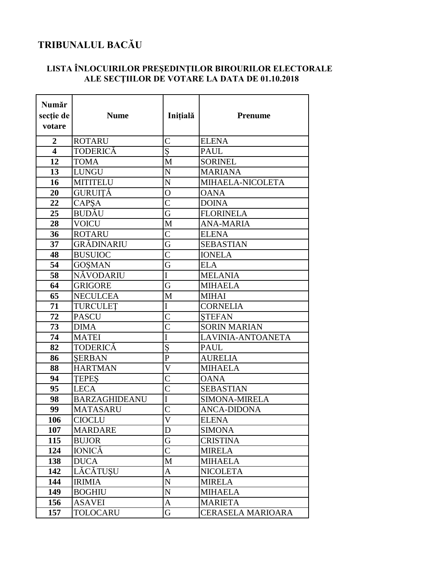## TRIBUNALUL BACĂU

## LISTA ÎNLOCUIRILOR PREȘEDINȚILOR BIROURILOR ELECTORALE<br>ALE SECȚIILOR DE VOTARE LA DATA DE 01.10.2018

| Număr<br>secție de<br>votare | <b>Nume</b>          | Inițială                | <b>Prenume</b>       |
|------------------------------|----------------------|-------------------------|----------------------|
| $\overline{2}$               | <b>ROTARU</b>        | $\overline{C}$          | <b>ELENA</b>         |
| $\overline{\mathbf{4}}$      | <b>TODERICĂ</b>      | Ş                       | <b>PAUL</b>          |
| 12                           | <b>TOMA</b>          | M                       | <b>SORINEL</b>       |
| 13                           | <b>LUNGU</b>         | $\overline{\rm N}$      | <b>MARIANA</b>       |
| 16                           | <b>MITITELU</b>      | N                       | MIHAELA-NICOLETA     |
| 20                           | <b>GURUITĂ</b>       | $\overline{O}$          | <b>OANA</b>          |
| 22                           | CAPSA                | $\overline{C}$          | <b>DOINA</b>         |
| 25                           | BUDĂU                | G                       | <b>FLORINELA</b>     |
| 28                           | <b>VOICU</b>         | M                       | <b>ANA-MARIA</b>     |
| 36                           | <b>ROTARU</b>        | $\overline{C}$          | <b>ELENA</b>         |
| 37                           | GRĂDINARIU           | $\overline{\mathrm{G}}$ | <b>SEBASTIAN</b>     |
| 48                           | <b>BUSUIOC</b>       | $\overline{C}$          | <b>IONELA</b>        |
| 54                           | <b>GOSMAN</b>        | G                       | <b>ELA</b>           |
| 58                           | NĂVODARIU            | I                       | <b>MELANIA</b>       |
| 64                           | <b>GRIGORE</b>       | G                       | <b>MIHAELA</b>       |
| 65                           | <b>NECULCEA</b>      | M                       | <b>MIHAI</b>         |
| 71                           | <b>TURCULET</b>      | I                       | <b>CORNELIA</b>      |
| 72                           | <b>PASCU</b>         | $\overline{\text{C}}$   | <b>STEFAN</b>        |
| 73                           | <b>DIMA</b>          | $\overline{C}$          | <b>SORIN MARIAN</b>  |
| 74                           | <b>MATEI</b>         | $\overline{\mathrm{I}}$ | LAVINIA-ANTOANETA    |
| 82                           | <b>TODERICĂ</b>      | Ş                       | <b>PAUL</b>          |
| 86                           | <b>SERBAN</b>        | $\mathbf{P}$            | <b>AURELIA</b>       |
| 88                           | <b>HARTMAN</b>       | $\overline{\text{V}}$   | <b>MIHAELA</b>       |
| 94                           | <b>TEPES</b>         | $\overline{C}$          | <b>OANA</b>          |
| 95                           | <b>LECA</b>          | $\overline{\text{C}}$   | <b>SEBASTIAN</b>     |
| 98                           | <b>BARZAGHIDEANU</b> | I                       | <b>SIMONA-MIRELA</b> |
| 99                           | <b>MATASARU</b>      | $\overline{C}$          | <b>ANCA-DIDONA</b>   |
| 106                          | <b>CIOCLU</b>        | $\mathbf V$             | <b>ELENA</b>         |
| 107                          | <b>MARDARE</b>       | D                       | <b>SIMONA</b>        |
| 115                          | <b>BUJOR</b>         | G                       | <b>CRISTINA</b>      |
| 124                          | <b>IONICĂ</b>        | $\mathsf{C}$            | <b>MIRELA</b>        |
| 138                          | <b>DUCA</b>          | M                       | <b>MIHAELA</b>       |
| 142                          | LĂCĂTUȘU             | A                       | <b>NICOLETA</b>      |
| 144                          | <b>IRIMIA</b>        | ${\bf N}$               | <b>MIRELA</b>        |
| 149                          | <b>BOGHIU</b>        | N                       | <b>MIHAELA</b>       |
| 156                          | <b>ASAVEI</b>        | A                       | <b>MARIETA</b>       |
| 157                          | TOLOCARU             | G                       | CERASELA MARIOARA    |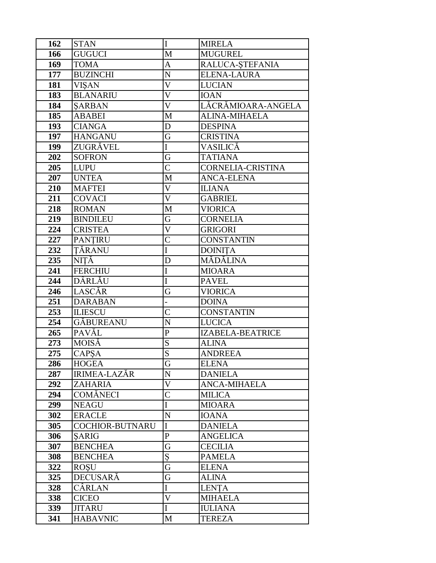| 162 | <b>STAN</b>            | I                       | <b>MIRELA</b>        |
|-----|------------------------|-------------------------|----------------------|
| 166 | <b>GUGUCI</b>          | M                       | <b>MUGUREL</b>       |
| 169 | <b>TOMA</b>            | A                       | RALUCA-ȘTEFANIA      |
| 177 | <b>BUZINCHI</b>        | $\overline{N}$          | ELENA-LAURA          |
| 181 | <b>VIŞAN</b>           | $\overline{\mathsf{V}}$ | <b>LUCIAN</b>        |
| 183 | <b>BLANARIU</b>        | $\overline{V}$          | <b>IOAN</b>          |
| 184 | <b>SARBAN</b>          | $\overline{\mathsf{V}}$ | LĂCRĂMIOARA-ANGELA   |
| 185 | <b>ABABEI</b>          | M                       | <b>ALINA-MIHAELA</b> |
| 193 | <b>CIANGA</b>          | D                       | <b>DESPINA</b>       |
| 197 | <b>HANGANU</b>         | G                       | <b>CRISTINA</b>      |
| 199 | ZUGRĂVEL               | I                       | VASILICĂ             |
| 202 | <b>SOFRON</b>          | G                       | <b>TATIANA</b>       |
| 205 | <b>LUPU</b>            | $\overline{\mathsf{C}}$ | CORNELIA-CRISTINA    |
| 207 | <b>UNTEA</b>           | M                       | <b>ANCA-ELENA</b>    |
| 210 | <b>MAFTEI</b>          | $\overline{\mathsf{V}}$ | <b>ILIANA</b>        |
| 211 | <b>COVACI</b>          | $\overline{\mathsf{V}}$ | <b>GABRIEL</b>       |
| 218 | <b>ROMAN</b>           | M                       | <b>VIORICA</b>       |
| 219 | <b>BINDILEU</b>        | G                       | <b>CORNELIA</b>      |
| 224 | <b>CRISTEA</b>         | $\overline{\rm V}$      | <b>GRIGORI</b>       |
| 227 | <b>PANTIRU</b>         | $\overline{C}$          | <b>CONSTANTIN</b>    |
| 232 | TĂRANU                 | $\overline{I}$          | <b>DOINITA</b>       |
| 235 | NITĂ                   | D                       | MĂDĂLINA             |
| 241 | <b>FERCHIU</b>         | I                       | <b>MIOARA</b>        |
| 244 | DÂRLĂU                 | I                       | <b>PAVEL</b>         |
| 246 | LASCĂR                 | G                       | <b>VIORICA</b>       |
| 251 | <b>DARABAN</b>         |                         | <b>DOINA</b>         |
| 253 | <b>ILIESCU</b>         | $\overline{C}$          | <b>CONSTANTIN</b>    |
| 254 | <b>GÅBUREANU</b>       | $\overline{N}$          | <b>LUCICA</b>        |
| 265 | PAVĂL                  | $\mathbf{P}$            | IZABELA-BEATRICE     |
| 273 | MOISĂ                  | S                       | <b>ALINA</b>         |
| 275 | <b>CAPSA</b>           | $\overline{S}$          | <b>ANDREEA</b>       |
| 286 | <b>HOGEA</b>           | G                       | <b>ELENA</b>         |
| 287 | <b>IRIMEA-LAZĂR</b>    | $\overline{N}$          | <b>DANIELA</b>       |
| 292 | ZAHARIA                | $\overline{\mathsf{V}}$ | <b>ANCA-MIHAELA</b>  |
| 294 | <b>COMĂNECI</b>        | $\overline{C}$          | <b>MILICA</b>        |
| 299 | <b>NEAGU</b>           | I                       | <b>MIOARA</b>        |
| 302 | <b>ERACLE</b>          | ${\bf N}$               | <b>IOANA</b>         |
| 305 | <b>COCHIOR-BUTNARU</b> | I                       | <b>DANIELA</b>       |
| 306 | <b>SARIG</b>           | ${\bf P}$               | <b>ANGELICA</b>      |
| 307 | <b>BENCHEA</b>         | G                       | <b>CECILIA</b>       |
| 308 | <b>BENCHEA</b>         | Ş                       | <b>PAMELA</b>        |
| 322 | <b>ROSU</b>            | G                       | <b>ELENA</b>         |
| 325 | <b>DECUSARĂ</b>        | G                       | <b>ALINA</b>         |
| 328 | CÂRLAN                 | $\overline{I}$          | <b>LENTA</b>         |
| 338 | <b>CICEO</b>           | $\overline{\mathsf{V}}$ | <b>MIHAELA</b>       |
| 339 | <b>JITARU</b>          | I                       | <b>IULIANA</b>       |
| 341 | <b>HABAVNIC</b>        | M                       | <b>TEREZA</b>        |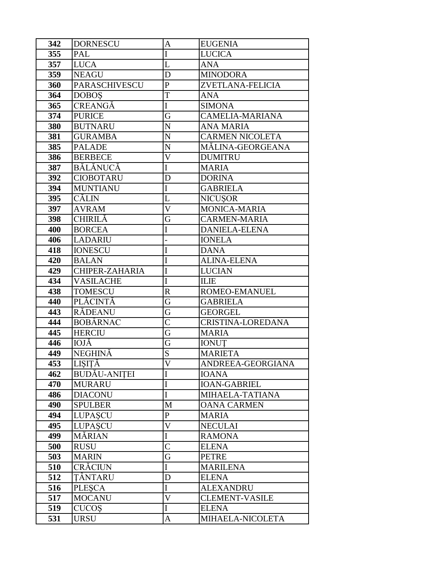| 342 | <b>DORNESCU</b>      | $\mathbf{A}$            | <b>EUGENIA</b>         |
|-----|----------------------|-------------------------|------------------------|
| 355 | PAL                  | I                       | <b>LUCICA</b>          |
| 357 | <b>LUCA</b>          | L                       | ANA                    |
| 359 | <b>NEAGU</b>         | D                       | <b>MINODORA</b>        |
| 360 | <b>PARASCHIVESCU</b> | $\overline{P}$          | ZVETLANA-FELICIA       |
| 364 | <b>DOBOS</b>         | T                       | <b>ANA</b>             |
| 365 | <b>CREANGĂ</b>       | I                       | <b>SIMONA</b>          |
| 374 | <b>PURICE</b>        | G                       | <b>CAMELIA-MARIANA</b> |
| 380 | <b>BUTNARU</b>       | N                       | <b>ANA MARIA</b>       |
| 381 | <b>GURAMBA</b>       | $\mathbf N$             | <b>CARMEN NICOLETA</b> |
| 385 | <b>PALADE</b>        | $\mathbf N$             | MÁLINA-GEORGEANA       |
| 386 | <b>BERBECE</b>       | $\overline{\mathsf{V}}$ | <b>DUMITRU</b>         |
| 387 | BĂLĂNUCĂ             | $\overline{I}$          | <b>MARIA</b>           |
| 392 | <b>CIOBOTARU</b>     | D                       | <b>DORINA</b>          |
| 394 | <b>MUNTIANU</b>      | I                       | <b>GABRIELA</b>        |
| 395 | CĂLIN                | L                       | NICUȘOR                |
| 397 | <b>AVRAM</b>         | $\overline{\mathsf{V}}$ | MONICA-MARIA           |
| 398 | <b>CHIRILĂ</b>       | G                       | <b>CARMEN-MARIA</b>    |
| 400 | <b>BORCEA</b>        | I                       | <b>DANIELA-ELENA</b>   |
| 406 | <b>LADARIU</b>       |                         | <b>IONELA</b>          |
| 418 | <b>IONESCU</b>       | I                       | <b>DANA</b>            |
| 420 | <b>BALAN</b>         | I                       | <b>ALINA-ELENA</b>     |
| 429 | CHIPER-ZAHARIA       | I                       | <b>LUCIAN</b>          |
| 434 | <b>VASILACHE</b>     | I                       | <b>ILIE</b>            |
| 438 | <b>TOMESCU</b>       | $\mathbf R$             | ROMEO-EMANUEL          |
| 440 | PLĂCINTĂ             | G                       | <b>GABRIELA</b>        |
| 443 | RÁDEANU              | G                       | <b>GEORGEL</b>         |
| 444 | <b>BOBÂRNAC</b>      | $\overline{C}$          | CRISTINA-LOREDANA      |
| 445 | <b>HERCIU</b>        | G                       | MARIA                  |
| 446 | IOJĂ                 | G                       | <b>IONUT</b>           |
| 449 | <b>NEGHINĂ</b>       | S                       | <b>MARIETA</b>         |
| 453 | LIŞIȚĂ               | $\overline{\mathsf{V}}$ | ANDREEA-GEORGIANA      |
| 462 | <b>BUDĂU-ANIȚEI</b>  | $\bf I$                 | <b>IOANA</b>           |
| 470 | MURARU               | $\mathbf I$             | <b>IOAN-GABRIEL</b>    |
| 486 | <b>DIACONU</b>       | I                       | MIHAELA-TATIANA        |
| 490 | <b>SPULBER</b>       | $\mathbf M$             | <b>OANA CARMEN</b>     |
| 494 | <b>LUPASCU</b>       | $\mathbf{P}$            | <b>MARIA</b>           |
| 495 | <b>LUPASCU</b>       | $\mathbf V$             | <b>NECULAI</b>         |
| 499 | MĂRIAN               | $\mathbf I$             | <b>RAMONA</b>          |
| 500 | <b>RUSU</b>          | $\mathcal{C}$           | <b>ELENA</b>           |
| 503 | <b>MARIN</b>         | G                       | PETRE                  |
| 510 | <b>CRĂCIUN</b>       | $\bf{I}$                | <b>MARILENA</b>        |
| 512 | TÂNTARU              | D                       | <b>ELENA</b>           |
| 516 | <b>PLESCA</b>        | $\mathbf I$             | <b>ALEXANDRU</b>       |
| 517 | <b>MOCANU</b>        | $\overline{V}$          | <b>CLEMENT-VASILE</b>  |
| 519 | <b>CUCOS</b>         | $\mathbf I$             | <b>ELENA</b>           |
| 531 | <b>URSU</b>          | $\mathbf{A}$            | MIHAELA-NICOLETA       |